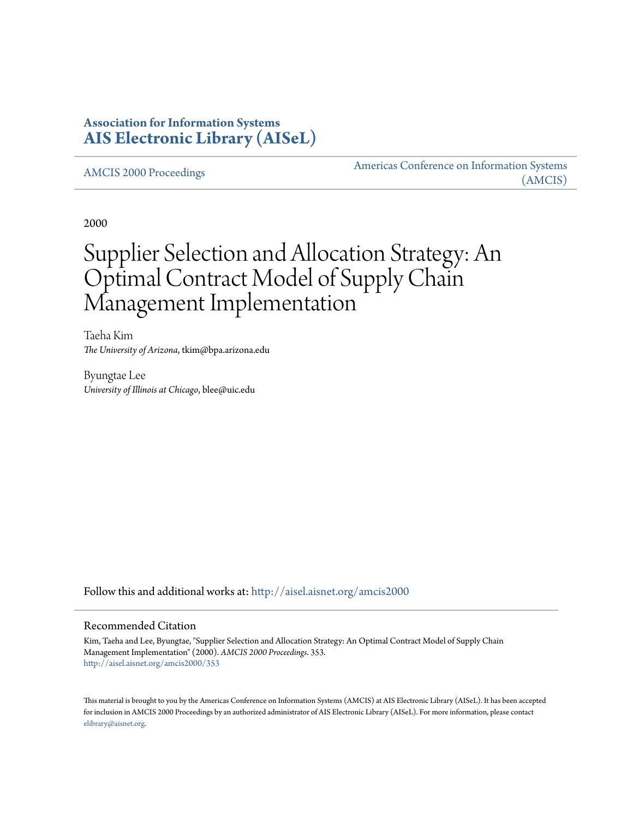# **Association for Information Systems [AIS Electronic Library \(AISeL\)](http://aisel.aisnet.org?utm_source=aisel.aisnet.org%2Famcis2000%2F353&utm_medium=PDF&utm_campaign=PDFCoverPages)**

[AMCIS 2000 Proceedings](http://aisel.aisnet.org/amcis2000?utm_source=aisel.aisnet.org%2Famcis2000%2F353&utm_medium=PDF&utm_campaign=PDFCoverPages)

[Americas Conference on Information Systems](http://aisel.aisnet.org/amcis?utm_source=aisel.aisnet.org%2Famcis2000%2F353&utm_medium=PDF&utm_campaign=PDFCoverPages) [\(AMCIS\)](http://aisel.aisnet.org/amcis?utm_source=aisel.aisnet.org%2Famcis2000%2F353&utm_medium=PDF&utm_campaign=PDFCoverPages)

2000

# Supplier Selection and Allocation Strategy: An Optimal Contract Model of Supply Chain Management Implementation

Taeha Kim *The University of Arizona*, tkim@bpa.arizona.edu

Byungtae Lee *University of Illinois at Chicago*, blee@uic.edu

Follow this and additional works at: [http://aisel.aisnet.org/amcis2000](http://aisel.aisnet.org/amcis2000?utm_source=aisel.aisnet.org%2Famcis2000%2F353&utm_medium=PDF&utm_campaign=PDFCoverPages)

#### Recommended Citation

Kim, Taeha and Lee, Byungtae, "Supplier Selection and Allocation Strategy: An Optimal Contract Model of Supply Chain Management Implementation" (2000). *AMCIS 2000 Proceedings*. 353. [http://aisel.aisnet.org/amcis2000/353](http://aisel.aisnet.org/amcis2000/353?utm_source=aisel.aisnet.org%2Famcis2000%2F353&utm_medium=PDF&utm_campaign=PDFCoverPages)

This material is brought to you by the Americas Conference on Information Systems (AMCIS) at AIS Electronic Library (AISeL). It has been accepted for inclusion in AMCIS 2000 Proceedings by an authorized administrator of AIS Electronic Library (AISeL). For more information, please contact [elibrary@aisnet.org.](mailto:elibrary@aisnet.org%3E)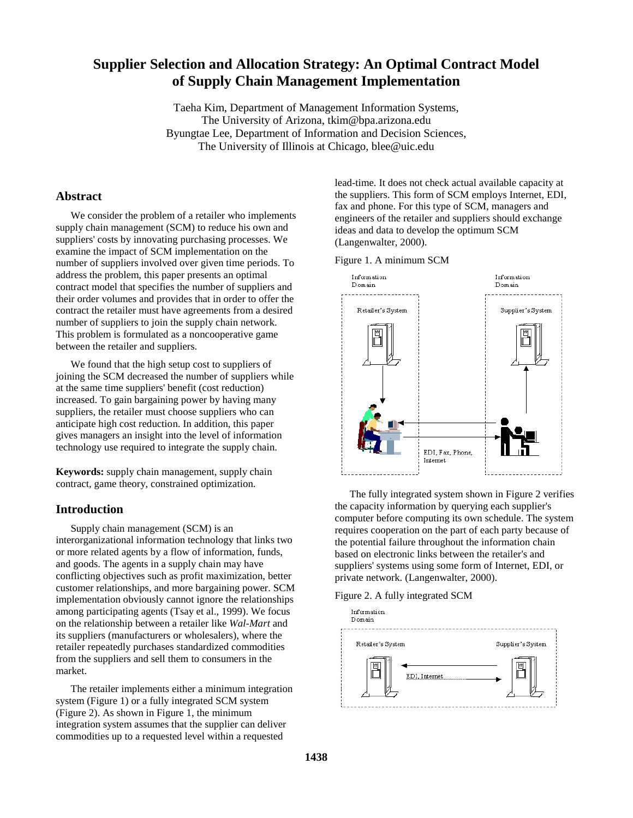## **Supplier Selection and Allocation Strategy: An Optimal Contract Model of Supply Chain Management Implementation**

Taeha Kim, Department of Management Information Systems, The University of Arizona, tkim@bpa.arizona.edu Byungtae Lee, Department of Information and Decision Sciences, The University of Illinois at Chicago, blee@uic.edu

### **Abstract**

We consider the problem of a retailer who implements supply chain management (SCM) to reduce his own and suppliers' costs by innovating purchasing processes. We examine the impact of SCM implementation on the number of suppliers involved over given time periods. To address the problem, this paper presents an optimal contract model that specifies the number of suppliers and their order volumes and provides that in order to offer the contract the retailer must have agreements from a desired number of suppliers to join the supply chain network. This problem is formulated as a noncooperative game between the retailer and suppliers.

We found that the high setup cost to suppliers of joining the SCM decreased the number of suppliers while at the same time suppliers' benefit (cost reduction) increased. To gain bargaining power by having many suppliers, the retailer must choose suppliers who can anticipate high cost reduction. In addition, this paper gives managers an insight into the level of information technology use required to integrate the supply chain.

**Keywords:** supply chain management, supply chain contract, game theory, constrained optimization.

#### **Introduction**

Supply chain management (SCM) is an interorganizational information technology that links two or more related agents by a flow of information, funds, and goods. The agents in a supply chain may have conflicting objectives such as profit maximization, better customer relationships, and more bargaining power. SCM implementation obviously cannot ignore the relationships among participating agents (Tsay et al., 1999). We focus on the relationship between a retailer like *Wal-Mart* and its suppliers (manufacturers or wholesalers), where the retailer repeatedly purchases standardized commodities from the suppliers and sell them to consumers in the market.

The retailer implements either a minimum integration system (Figure 1) or a fully integrated SCM system (Figure 2). As shown in Figure 1, the minimum integration system assumes that the supplier can deliver commodities up to a requested level within a requested

lead-time. It does not check actual available capacity at the suppliers. This form of SCM employs Internet, EDI, fax and phone. For this type of SCM, managers and engineers of the retailer and suppliers should exchange ideas and data to develop the optimum SCM (Langenwalter, 2000).

Figure 1. A minimum SCM



The fully integrated system shown in Figure 2 verifies the capacity information by querying each supplier's computer before computing its own schedule. The system requires cooperation on the part of each party because of the potential failure throughout the information chain based on electronic links between the retailer's and suppliers' systems using some form of Internet, EDI, or private network. (Langenwalter, 2000).

Figure 2. A fully integrated SCM

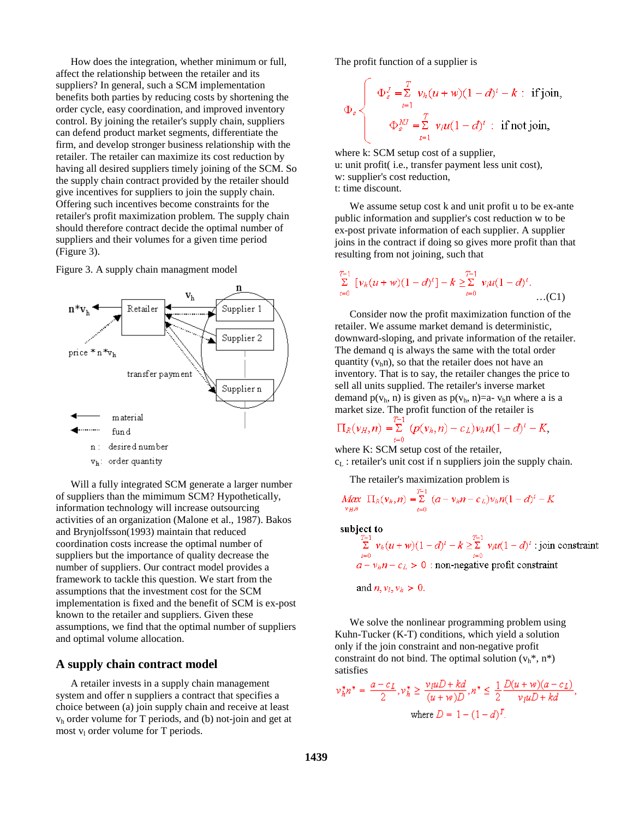How does the integration, whether minimum or full, affect the relationship between the retailer and its suppliers? In general, such a SCM implementation benefits both parties by reducing costs by shortening the order cycle, easy coordination, and improved inventory control. By joining the retailer's supply chain, suppliers can defend product market segments, differentiate the firm, and develop stronger business relationship with the retailer. The retailer can maximize its cost reduction by having all desired suppliers timely joining of the SCM. So the supply chain contract provided by the retailer should give incentives for suppliers to join the supply chain. Offering such incentives become constraints for the retailer's profit maximization problem. The supply chain should therefore contract decide the optimal number of suppliers and their volumes for a given time period (Figure 3).





Will a fully integrated SCM generate a larger number of suppliers than the mimimum SCM? Hypothetically, information technology will increase outsourcing activities of an organization (Malone et al., 1987). Bakos and Brynjolfsson(1993) maintain that reduced coordination costs increase the optimal number of suppliers but the importance of quality decrease the number of suppliers. Our contract model provides a framework to tackle this question. We start from the assumptions that the investment cost for the SCM implementation is fixed and the benefit of SCM is ex-post known to the retailer and suppliers. Given these assumptions, we find that the optimal number of suppliers and optimal volume allocation.

#### **A supply chain contract model**

A retailer invests in a supply chain management system and offer n suppliers a contract that specifies a choice between (a) join supply chain and receive at least vh order volume for T periods, and (b) not-join and get at most  $v_1$  order volume for T periods.

The profit function of a supplier is

$$
\Phi_s \left\{\begin{array}{c}\Phi_s^J = \sum_{t=1}^T v_h(u+w)(1-d)^t - k: \text{ if join,} \\ \Phi_s^M = \sum_{t=1}^T v_t u(1-d)^t: \text{ if not join,}\end{array}\right.
$$

where k: SCM setup cost of a supplier, u: unit profit( i.e., transfer payment less unit cost), w: supplier's cost reduction, t: time discount.

We assume setup cost k and unit profit u to be ex-ante public information and supplier's cost reduction w to be ex-post private information of each supplier. A supplier joins in the contract if doing so gives more profit than that resulting from not joining, such that

$$
\sum_{t=0}^{T-1} [v_h(u+w)(1-d)^t] - k \geq \sum_{t=0}^{T-1} v_t u(1-d)^t.
$$
...(C1)

Consider now the profit maximization function of the retailer. We assume market demand is deterministic, downward-sloping, and private information of the retailer. The demand q is always the same with the total order quantity  $(v<sub>h</sub>n)$ , so that the retailer does not have an inventory. That is to say, the retailer changes the price to sell all units supplied. The retailer's inverse market demand  $p(v<sub>h</sub>, n)$  is given as  $p(v<sub>h</sub>, n)=a-v<sub>h</sub>n$  where a is a market size. The profit function of the retailer is

$$
\Pi_R(v_H, n) = \sum_{t=0}^{L-1} (p(v_h, n) - c_L) v_h n (1 - d)^t - K,
$$

where K: SCM setup cost of the retailer,  $c_L$ : retailer's unit cost if n suppliers join the supply chain.

The retailer's maximization problem is

$$
\frac{Max}{v_{B,n}} \ \Pi_R(v_h, n) = \sum_{t=0}^{T-1} \ (a - v_h n - c_L) v_h n (1 - d)^t - K
$$

subject to

$$
\sum_{t=0}^{T-1} v_h(u+w)(1-d)^t - k \ge \sum_{t=0}^{T-1} v_t u(1-d)^t
$$
: join constraint  

$$
a - v_h n - c_L > 0
$$
: non-negative profit constraint

and  $n, v_l, v_h > 0$ .

We solve the nonlinear programming problem using Kuhn-Tucker (K-T) conditions, which yield a solution only if the join constraint and non-negative profit constraint do not bind. The optimal solution  $(v_h^*, n^*)$ satisfies

$$
\nu_h^* n^* = \frac{a - c_L}{2}, \nu_h^* \ge \frac{\nu_l u D + kd}{(u + w)D}, n^* \le \frac{1}{2} \frac{D(u + w)(a - c_L)}{\nu_l u D + kd},
$$
  
where  $D = 1 - (1 - d)^T$ .